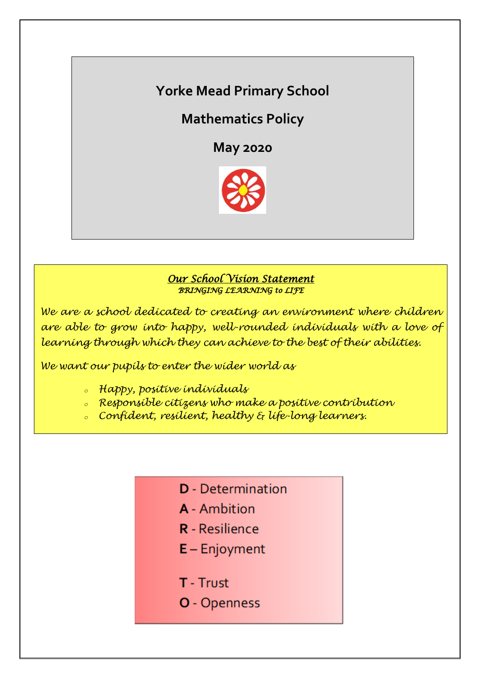# **Yorke Mead Primary School**

**Mathematics Policy**

**May 2020**



#### *Our School Vision Statement BRINGING LEARNING to LIFE*

*We are a school dedicated to creating an environment where children are able to grow into happy, well-rounded individuals with a love of learning through which they can achieve to the best of their abilities.*

*We want our pupils to enter the wider world as*

- *<sup>o</sup> Happy, positive individuals*
- *<sup>o</sup> Responsible citizens who make a positive contribution*
- *<sup>o</sup> Confident, resilient, healthy & life-long learners.*
	- **D** Determination
	- **A** Ambition
	- **R** Resilience
	- $E -$  Enjoyment
	- **T** Trust
	- **O** Openness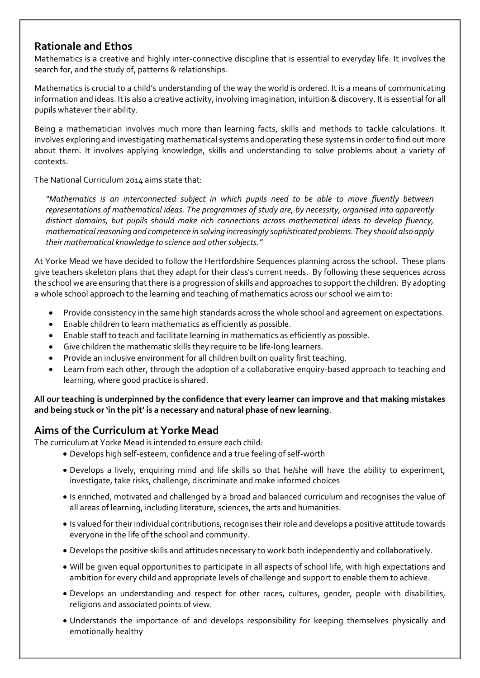## **Rationale and Ethos**

Mathematics is a creative and highly inter-connective discipline that is essential to everyday life. It involves the search for, and the study of, patterns & relationships.

Mathematics is crucial to a child's understanding of the way the world is ordered. It is a means of communicating information and ideas. It is also a creative activity, involving imagination, intuition & discovery. It is essential for all pupils whatever their ability.

Being a mathematician involves much more than learning facts, skills and methods to tackle calculations. It involves exploring and investigating mathematical systems and operating these systems in order to find out more about them. It involves applying knowledge, skills and understanding to solve problems about a variety of contexts.

The National Curriculum 2014 aims state that:

*"Mathematics is an interconnected subject in which pupils need to be able to move fluently between representations of mathematical ideas. The programmes of study are, by necessity, organised into apparently distinct domains, but pupils should make rich connections across mathematical ideas to develop fluency, mathematical reasoning and competence in solving increasingly sophisticated problems. They should also apply their mathematical knowledge to science and other subjects."* 

At Yorke Mead we have decided to follow the Hertfordshire Sequences planning across the school. These plans give teachers skeleton plans that they adapt for their class's current needs. By following these sequences across the school we are ensuring that there is a progression of skills and approaches to support the children. By adopting a whole school approach to the learning and teaching of mathematics across our school we aim to:

- Provide consistency in the same high standards across the whole school and agreement on expectations.
- Enable children to learn mathematics as efficiently as possible.
- Enable staff to teach and facilitate learning in mathematics as efficiently as possible.
- Give children the mathematic skills they require to be life-long learners.
- Provide an inclusive environment for all children built on quality first teaching.
- Learn from each other, through the adoption of a collaborative enquiry-based approach to teaching and learning, where good practice is shared.

**All our teaching is underpinned by the confidence that every learner can improve and that making mistakes and being stuck or 'in the pit' is a necessary and natural phase of new learning**.

## **Aims of the Curriculum at Yorke Mead**

The curriculum at Yorke Mead is intended to ensure each child:

- Develops high self-esteem, confidence and a true feeling of self-worth
- Develops a lively, enquiring mind and life skills so that he/she will have the ability to experiment, investigate, take risks, challenge, discriminate and make informed choices
- Is enriched, motivated and challenged by a broad and balanced curriculum and recognises the value of all areas of learning, including literature, sciences, the arts and humanities.
- Is valued for their individual contributions, recognises their role and develops a positive attitude towards everyone in the life of the school and community.
- Develops the positive skills and attitudes necessary to work both independently and collaboratively.
- Will be given equal opportunities to participate in all aspects of school life, with high expectations and ambition for every child and appropriate levels of challenge and support to enable them to achieve.
- Develops an understanding and respect for other races, cultures, gender, people with disabilities, religions and associated points of view.
- Understands the importance of and develops responsibility for keeping themselves physically and emotionally healthy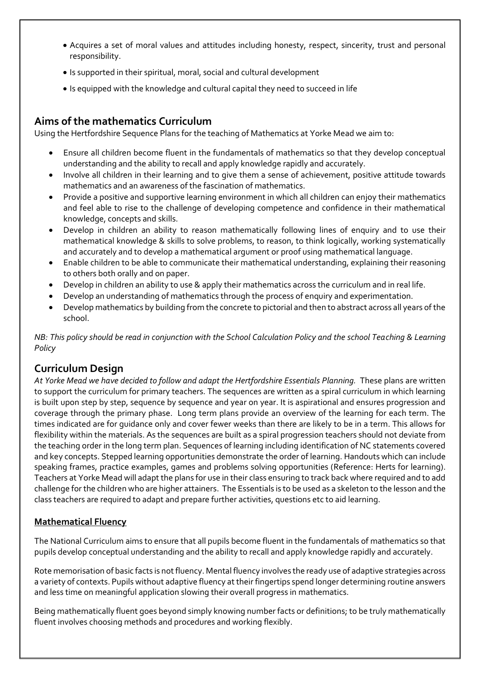- Acquires a set of moral values and attitudes including honesty, respect, sincerity, trust and personal responsibility.
- Is supported in their spiritual, moral, social and cultural development
- Is equipped with the knowledge and cultural capital they need to succeed in life

## **Aims of the mathematics Curriculum**

Using the Hertfordshire Sequence Plans for the teaching of Mathematics at Yorke Mead we aim to:

- Ensure all children become fluent in the fundamentals of mathematics so that they develop conceptual understanding and the ability to recall and apply knowledge rapidly and accurately.
- Involve all children in their learning and to give them a sense of achievement, positive attitude towards mathematics and an awareness of the fascination of mathematics.
- Provide a positive and supportive learning environment in which all children can enjoy their mathematics and feel able to rise to the challenge of developing competence and confidence in their mathematical knowledge, concepts and skills.
- Develop in children an ability to reason mathematically following lines of enquiry and to use their mathematical knowledge & skills to solve problems, to reason, to think logically, working systematically and accurately and to develop a mathematical argument or proof using mathematical language.
- Enable children to be able to communicate their mathematical understanding, explaining their reasoning to others both orally and on paper.
- Develop in children an ability to use & apply their mathematics across the curriculum and in real life.
- Develop an understanding of mathematics through the process of enquiry and experimentation.
- Develop mathematics by building from the concrete to pictorial and then to abstract across all years of the school.

*NB: This policy should be read in conjunction with the School Calculation Policy and the school Teaching & Learning Policy*

## **Curriculum Design**

*At Yorke Mead we have decided to follow and adapt the Hertfordshire Essentials Planning.* These plans are written to support the curriculum for primary teachers. The sequences are written as a spiral curriculum in which learning is built upon step by step, sequence by sequence and year on year. It is aspirational and ensures progression and coverage through the primary phase. Long term plans provide an overview of the learning for each term. The times indicated are for guidance only and cover fewer weeks than there are likely to be in a term. This allows for flexibility within the materials. As the sequences are built as a spiral progression teachers should not deviate from the teaching order in the long term plan. Sequences of learning including identification of NC statements covered and key concepts. Stepped learning opportunities demonstrate the order of learning. Handouts which can include speaking frames, practice examples, games and problems solving opportunities (Reference: Herts for learning). Teachers at Yorke Mead will adapt the plans for use in their class ensuring to track back where required and to add challenge for the children who are higher attainers. The Essentials is to be used as a skeleton to the lesson and the class teachers are required to adapt and prepare further activities, questions etc to aid learning.

#### **Mathematical Fluency**

The National Curriculum aims to ensure that all pupils become fluent in the fundamentals of mathematics so that pupils develop conceptual understanding and the ability to recall and apply knowledge rapidly and accurately.

Rote memorisation of basic facts is not fluency. Mental fluency involves the ready use of adaptive strategies across a variety of contexts. Pupils without adaptive fluency at their fingertips spend longer determining routine answers and less time on meaningful application slowing their overall progress in mathematics.

Being mathematically fluent goes beyond simply knowing number facts or definitions; to be truly mathematically fluent involves choosing methods and procedures and working flexibly.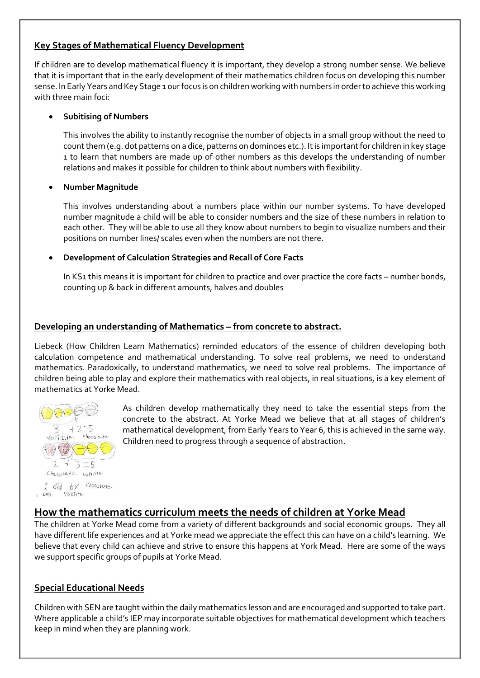#### **Key Stages of Mathematical Fluency Development**

If children are to develop mathematical fluency it is important, they develop a strong number sense. We believe that it is important that in the early development of their mathematics children focus on developing this number sense. In Early Years and Key Stage 1 our focus is on children working with numbers in order to achieve this working with three main foci:

#### **Subitising of Numbers**

This involves the ability to instantly recognise the number of objects in a small group without the need to count them (e.g. dot patterns on a dice, patterns on dominoes etc.). It is important for children in key stage 1 to learn that numbers are made up of other numbers as this develops the understanding of number relations and makes it possible for children to think about numbers with flexibility.

#### **Number Magnitude**

This involves understanding about a numbers place within our number systems. To have developed number magnitude a child will be able to consider numbers and the size of these numbers in relation to each other. They will be able to use all they know about numbers to begin to visualize numbers and their positions on number lines/ scales even when the numbers are not there.

#### **Development of Calculation Strategies and Recall of Core Facts**

In KS1 this means it is important for children to practice and over practice the core facts – number bonds, counting up & back in different amounts, halves and doubles

#### **Developing an understanding of Mathematics – from concrete to abstract.**

Liebeck (How Children Learn Mathematics) reminded educators of the essence of children developing both calculation competence and mathematical understanding. To solve real problems, we need to understand mathematics. Paradoxically, to understand mathematics, we need to solve real problems. The importance of children being able to play and explore their mathematics with real objects, in real situations, is a key element of mathematics at Yorke Mead.



As children develop mathematically they need to take the essential steps from the concrete to the abstract. At Yorke Mead we believe that at all stages of children's mathematical development, from Early Years to Year 6, this is achieved in the same way. Children need to progress through a sequence of abstraction.

#### I did by chocolore.  $0.007$  $VOMIR.$

## **How the mathematics curriculum meets the needs of children at Yorke Mead**

The children at Yorke Mead come from a variety of different backgrounds and social economic groups. They all have different life experiences and at Yorke mead we appreciate the effect this can have on a child's learning. We believe that every child can achieve and strive to ensure this happens at York Mead. Here are some of the ways we support specific groups of pupils at Yorke Mead.

#### **Special Educational Needs**

Children with SEN are taught within the daily mathematics lesson and are encouraged and supported to take part. Where applicable a child's IEP may incorporate suitable objectives for mathematical development which teachers keep in mind when they are planning work.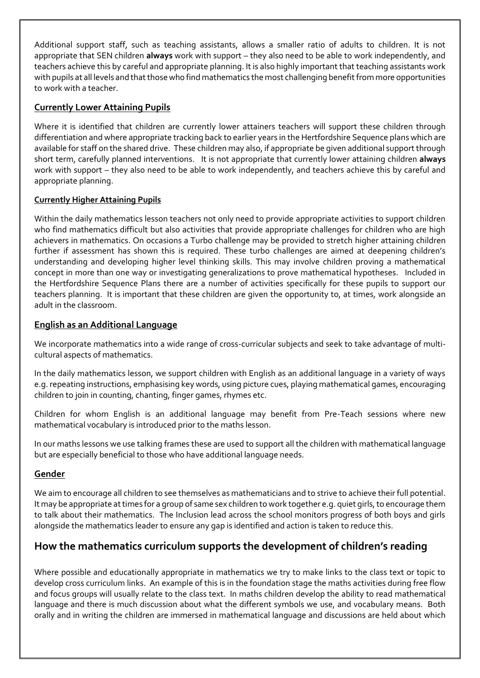Additional support staff, such as teaching assistants, allows a smaller ratio of adults to children. It is not appropriate that SEN children **always** work with support – they also need to be able to work independently, and teachers achieve this by careful and appropriate planning. It is also highly important that teaching assistants work with pupils at all levels and that those who find mathematics the most challenging benefit from more opportunities to work with a teacher.

#### **Currently Lower Attaining Pupils**

Where it is identified that children are currently lower attainers teachers will support these children through differentiation and where appropriate tracking back to earlier years in the Hertfordshire Sequence plans which are available for staff on the shared drive. These children may also, if appropriate be given additional support through short term, carefully planned interventions. It is not appropriate that currently lower attaining children **always** work with support – they also need to be able to work independently, and teachers achieve this by careful and appropriate planning.

#### **Currently Higher Attaining Pupils**

Within the daily mathematics lesson teachers not only need to provide appropriate activities to support children who find mathematics difficult but also activities that provide appropriate challenges for children who are high achievers in mathematics. On occasions a Turbo challenge may be provided to stretch higher attaining children further if assessment has shown this is required. These turbo challenges are aimed at deepening children's understanding and developing higher level thinking skills. This may involve children proving a mathematical concept in more than one way or investigating generalizations to prove mathematical hypotheses. Included in the Hertfordshire Sequence Plans there are a number of activities specifically for these pupils to support our teachers planning. It is important that these children are given the opportunity to, at times, work alongside an adult in the classroom.

#### **English as an Additional Language**

We incorporate mathematics into a wide range of cross-curricular subjects and seek to take advantage of multicultural aspects of mathematics.

In the daily mathematics lesson, we support children with English as an additional language in a variety of ways e.g. repeating instructions, emphasising key words, using picture cues, playing mathematical games, encouraging children to join in counting, chanting, finger games, rhymes etc.

Children for whom English is an additional language may benefit from Pre-Teach sessions where new mathematical vocabulary is introduced prior to the maths lesson.

In our maths lessons we use talking frames these are used to support all the children with mathematical language but are especially beneficial to those who have additional language needs.

#### **Gender**

We aim to encourage all children to see themselves as mathematicians and to strive to achieve their full potential. It may be appropriate at times for a group of same sex children to work together e.g. quiet girls, to encourage them to talk about their mathematics. The Inclusion lead across the school monitors progress of both boys and girls alongside the mathematics leader to ensure any gap is identified and action is taken to reduce this.

## **How the mathematics curriculum supports the development of children's reading**

Where possible and educationally appropriate in mathematics we try to make links to the class text or topic to develop cross curriculum links. An example of this is in the foundation stage the maths activities during free flow and focus groups will usually relate to the class text. In maths children develop the ability to read mathematical language and there is much discussion about what the different symbols we use, and vocabulary means. Both orally and in writing the children are immersed in mathematical language and discussions are held about which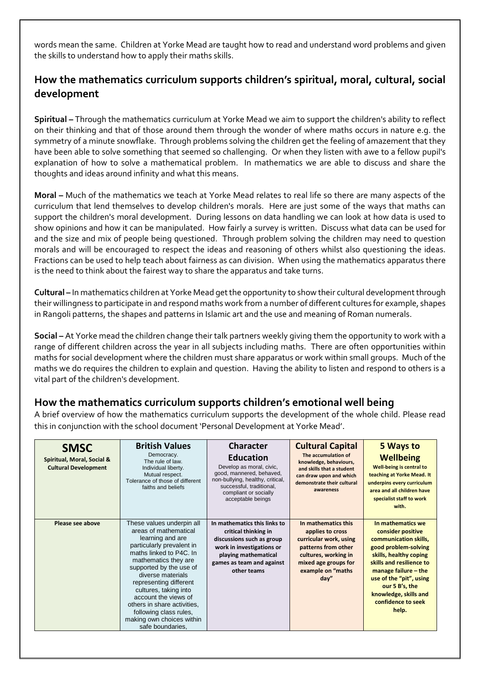words mean the same. Children at Yorke Mead are taught how to read and understand word problems and given the skills to understand how to apply their maths skills.

## **How the mathematics curriculum supports children's spiritual, moral, cultural, social development**

**Spiritual –** Through the mathematics curriculum at Yorke Mead we aim to support the children's ability to reflect on their thinking and that of those around them through the wonder of where maths occurs in nature e.g. the symmetry of a minute snowflake. Through problems solving the children get the feeling of amazement that they have been able to solve something that seemed so challenging. Or when they listen with awe to a fellow pupil's explanation of how to solve a mathematical problem. In mathematics we are able to discuss and share the thoughts and ideas around infinity and what this means.

**Moral –** Much of the mathematics we teach at Yorke Mead relates to real life so there are many aspects of the curriculum that lend themselves to develop children's morals. Here are just some of the ways that maths can support the children's moral development. During lessons on data handling we can look at how data is used to show opinions and how it can be manipulated. How fairly a survey is written. Discuss what data can be used for and the size and mix of people being questioned. Through problem solving the children may need to question morals and will be encouraged to respect the ideas and reasoning of others whilst also questioning the ideas. Fractions can be used to help teach about fairness as can division. When using the mathematics apparatus there is the need to think about the fairest way to share the apparatus and take turns.

**Cultural –** In mathematics children at Yorke Mead get the opportunity to show their cultural development through their willingness to participate in and respond maths work from a number of different cultures for example, shapes in Rangoli patterns, the shapes and patterns in Islamic art and the use and meaning of Roman numerals.

**Social –** At Yorke mead the children change their talk partners weekly giving them the opportunity to work with a range of different children across the year in all subjects including maths. There are often opportunities within maths for social development where the children must share apparatus or work within small groups. Much of the maths we do requires the children to explain and question. Having the ability to listen and respond to others is a vital part of the children's development.

## **How the mathematics curriculum supports children's emotional well being**

A brief overview of how the mathematics curriculum supports the development of the whole child. Please read this in conjunction with the school document 'Personal Development at Yorke Mead'.

| <b>SMSC</b><br>Spiritual, Moral, Social &<br><b>Cultural Development</b> | <b>British Values</b><br>Democracy.<br>The rule of law.<br>Individual liberty.<br>Mutual respect.<br>Tolerance of those of different<br>faiths and beliefs                                                                                                                                                                                                                                  | <b>Character</b><br><b>Education</b><br>Develop as moral, civic,<br>good, mannered, behaved,<br>non-bullying, healthy, critical,<br>successful, traditional,<br>compliant or socially<br>acceptable beings | <b>Cultural Capital</b><br>The accumulation of<br>knowledge, behaviours,<br>and skills that a student<br>can draw upon and which<br>demonstrate their cultural<br>awareness | 5 Ways to<br><b>Wellbeing</b><br><b>Well-being is central to</b><br>teaching at Yorke Mead. It<br>underpins every curriculum<br>area and all children have<br>specialist staff to work<br>with.                                                                              |
|--------------------------------------------------------------------------|---------------------------------------------------------------------------------------------------------------------------------------------------------------------------------------------------------------------------------------------------------------------------------------------------------------------------------------------------------------------------------------------|------------------------------------------------------------------------------------------------------------------------------------------------------------------------------------------------------------|-----------------------------------------------------------------------------------------------------------------------------------------------------------------------------|------------------------------------------------------------------------------------------------------------------------------------------------------------------------------------------------------------------------------------------------------------------------------|
| Please see above                                                         | These values underpin all<br>areas of mathematical<br>learning and are<br>particularly prevalent in<br>maths linked to P4C. In<br>mathematics they are<br>supported by the use of<br>diverse materials<br>representing different<br>cultures, taking into<br>account the views of<br>others in share activities.<br>following class rules,<br>making own choices within<br>safe boundaries. | In mathematics this links to<br>critical thinking in<br>discussions such as group<br>work in investigations or<br>playing mathematical<br>games as team and against<br>other teams                         | In mathematics this<br>applies to cross<br>curricular work, using<br>patterns from other<br>cultures, working in<br>mixed age groups for<br>example on "maths<br>day''      | In mathematics we<br>consider positive<br>communication skills,<br>good problem-solving<br>skills, healthy coping<br>skills and resilience to<br>manage failure $-$ the<br>use of the "pit", using<br>our 5 B's, the<br>knowledge, skills and<br>confidence to seek<br>help. |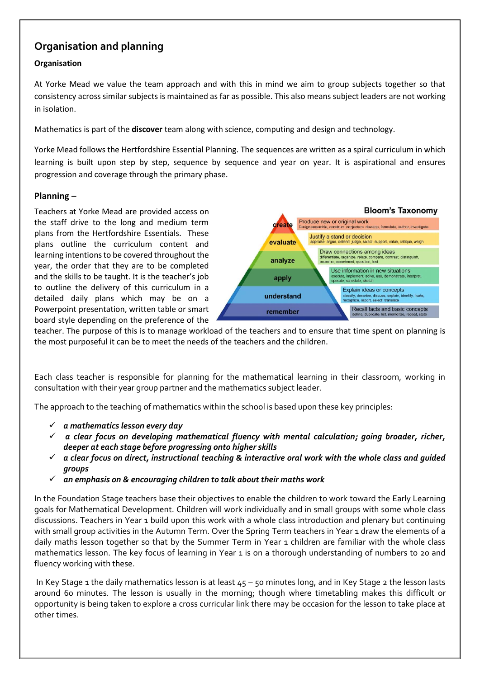## **Organisation and planning**

#### **Organisation**

At Yorke Mead we value the team approach and with this in mind we aim to group subjects together so that consistency across similar subjects is maintained as far as possible. This also means subject leaders are not working in isolation.

Mathematics is part of the **discover** team along with science, computing and design and technology.

Yorke Mead follows the Hertfordshire Essential Planning. The sequences are written as a spiral curriculum in which learning is built upon step by step, sequence by sequence and year on year. It is aspirational and ensures progression and coverage through the primary phase.

#### **Planning –**

Teachers at Yorke Mead are provided access on the staff drive to the long and medium term plans from the Hertfordshire Essentials. These plans outline the curriculum content and learning intentions to be covered throughout the year, the order that they are to be completed and the skills to be taught. It is the teacher's job to outline the delivery of this curriculum in a detailed daily plans which may be on a Powerpoint presentation, written table or smart board style depending on the preference of the



teacher. The purpose of this is to manage workload of the teachers and to ensure that time spent on planning is the most purposeful it can be to meet the needs of the teachers and the children.

Each class teacher is responsible for planning for the mathematical learning in their classroom, working in consultation with their year group partner and the mathematics subject leader.

The approach to the teaching of mathematics within the school is based upon these key principles:

- *a mathematics lesson every day*
- *a clear focus on developing mathematical fluency with mental calculation; going broader, richer, deeper at each stage before progressing onto higher skills*
- *a clear focus on direct, instructional teaching & interactive oral work with the whole class and guided groups*
- *an emphasis on & encouraging children to talk about their maths work*

In the Foundation Stage teachers base their objectives to enable the children to work toward the Early Learning goals for Mathematical Development. Children will work individually and in small groups with some whole class discussions. Teachers in Year 1 build upon this work with a whole class introduction and plenary but continuing with small group activities in the Autumn Term. Over the Spring Term teachers in Year 1 draw the elements of a daily maths lesson together so that by the Summer Term in Year 1 children are familiar with the whole class mathematics lesson. The key focus of learning in Year 1 is on a thorough understanding of numbers to 20 and fluency working with these.

In Key Stage 1 the daily mathematics lesson is at least 45 – 50 minutes long, and in Key Stage 2 the lesson lasts around 60 minutes. The lesson is usually in the morning; though where timetabling makes this difficult or opportunity is being taken to explore a cross curricular link there may be occasion for the lesson to take place at other times.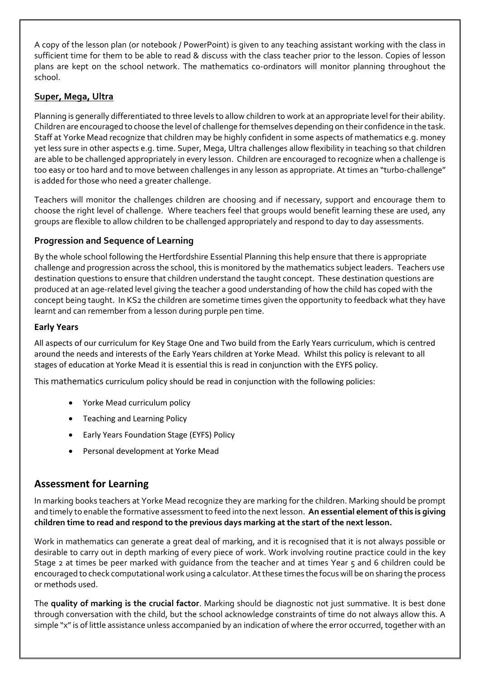A copy of the lesson plan (or notebook / PowerPoint) is given to any teaching assistant working with the class in sufficient time for them to be able to read & discuss with the class teacher prior to the lesson. Copies of lesson plans are kept on the school network. The mathematics co-ordinators will monitor planning throughout the school.

#### **Super, Mega, Ultra**

Planning is generally differentiated to three levels to allow children to work at an appropriate level for their ability. Children are encouraged to choose the level of challenge for themselves depending on their confidence in the task. Staff at Yorke Mead recognize that children may be highly confident in some aspects of mathematics e.g. money yet less sure in other aspects e.g. time. Super, Mega, Ultra challenges allow flexibility in teaching so that children are able to be challenged appropriately in every lesson. Children are encouraged to recognize when a challenge is too easy or too hard and to move between challenges in any lesson as appropriate. At times an "turbo-challenge" is added for those who need a greater challenge.

Teachers will monitor the challenges children are choosing and if necessary, support and encourage them to choose the right level of challenge. Where teachers feel that groups would benefit learning these are used, any groups are flexible to allow children to be challenged appropriately and respond to day to day assessments.

#### **Progression and Sequence of Learning**

By the whole school following the Hertfordshire Essential Planning this help ensure that there is appropriate challenge and progression across the school, this is monitored by the mathematics subject leaders. Teachers use destination questions to ensure that children understand the taught concept. These destination questions are produced at an age-related level giving the teacher a good understanding of how the child has coped with the concept being taught. In KS2 the children are sometime times given the opportunity to feedback what they have learnt and can remember from a lesson during purple pen time.

#### **Early Years**

All aspects of our curriculum for Key Stage One and Two build from the Early Years curriculum, which is centred around the needs and interests of the Early Years children at Yorke Mead. Whilst this policy is relevant to all stages of education at Yorke Mead it is essential this is read in conjunction with the EYFS policy.

This mathematics curriculum policy should be read in conjunction with the following policies:

- Yorke Mead curriculum policy
- Teaching and Learning Policy
- Early Years Foundation Stage (EYFS) Policy
- Personal development at Yorke Mead

## **Assessment for Learning**

In marking books teachers at Yorke Mead recognize they are marking for the children. Marking should be prompt and timely to enable the formative assessment to feed into the next lesson. **An essential element of this is giving children time to read and respond to the previous days marking at the start of the next lesson.** 

Work in mathematics can generate a great deal of marking, and it is recognised that it is not always possible or desirable to carry out in depth marking of every piece of work. Work involving routine practice could in the key Stage 2 at times be peer marked with guidance from the teacher and at times Year 5 and 6 children could be encouraged to check computational work using a calculator. At these times the focus will be on sharing the process or methods used.

The **quality of marking is the crucial factor**. Marking should be diagnostic not just summative. It is best done through conversation with the child, but the school acknowledge constraints of time do not always allow this. A simple "x" is of little assistance unless accompanied by an indication of where the error occurred, together with an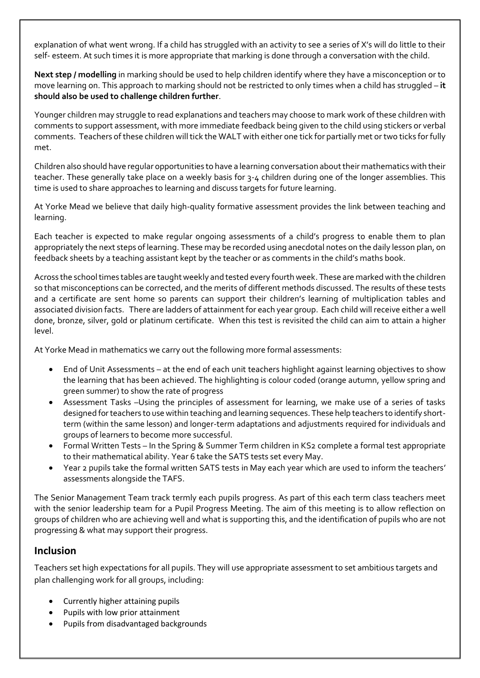explanation of what went wrong. If a child has struggled with an activity to see a series of X's will do little to their self- esteem. At such times it is more appropriate that marking is done through a conversation with the child.

**Next step / modelling** in marking should be used to help children identify where they have a misconception or to move learning on. This approach to marking should not be restricted to only times when a child has struggled – **it should also be used to challenge children further**.

Younger children may struggle to read explanations and teachers may choose to mark work of these children with comments to support assessment, with more immediate feedback being given to the child using stickers or verbal comments. Teachers of these children will tick the WALT with either one tick for partially met or two ticks for fully met.

Children also should have regular opportunities to have a learning conversation about their mathematics with their teacher. These generally take place on a weekly basis for 3-4 children during one of the longer assemblies. This time is used to share approaches to learning and discuss targets for future learning.

At Yorke Mead we believe that daily high-quality formative assessment provides the link between teaching and learning.

Each teacher is expected to make regular ongoing assessments of a child's progress to enable them to plan appropriately the next steps of learning. These may be recorded using anecdotal notes on the daily lesson plan, on feedback sheets by a teaching assistant kept by the teacher or as comments in the child's maths book.

Across the school times tables are taught weekly and tested every fourth week. These are marked with the children so that misconceptions can be corrected, and the merits of different methods discussed. The results of these tests and a certificate are sent home so parents can support their children's learning of multiplication tables and associated division facts. There are ladders of attainment for each year group. Each child will receive either a well done, bronze, silver, gold or platinum certificate. When this test is revisited the child can aim to attain a higher level.

At Yorke Mead in mathematics we carry out the following more formal assessments:

- End of Unit Assessments at the end of each unit teachers highlight against learning objectives to show the learning that has been achieved. The highlighting is colour coded (orange autumn, yellow spring and green summer) to show the rate of progress
- Assessment Tasks –Using the principles of assessment for learning, we make use of a series of tasks designed for teachers to use within teaching and learning sequences. These help teachers to identify shortterm (within the same lesson) and longer-term adaptations and adjustments required for individuals and groups of learners to become more successful.
- Formal Written Tests In the Spring & Summer Term children in KS2 complete a formal test appropriate to their mathematical ability. Year 6 take the SATS tests set every May.
- Year 2 pupils take the formal written SATS tests in May each year which are used to inform the teachers' assessments alongside the TAFS.

The Senior Management Team track termly each pupils progress. As part of this each term class teachers meet with the senior leadership team for a Pupil Progress Meeting. The aim of this meeting is to allow reflection on groups of children who are achieving well and what is supporting this, and the identification of pupils who are not progressing & what may support their progress.

## **Inclusion**

Teachers set high expectations for all pupils. They will use appropriate assessment to set ambitious targets and plan challenging work for all groups, including:

- Currently higher attaining pupils
- Pupils with low prior attainment
- Pupils from disadvantaged backgrounds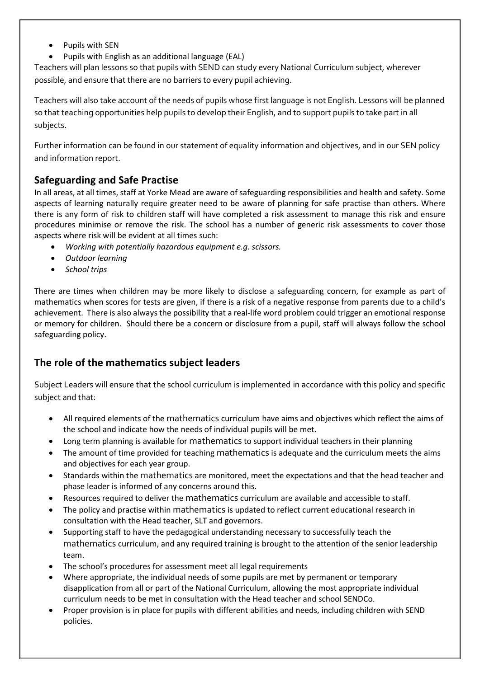- Pupils with SEN
- Pupils with English as an additional language (EAL)

Teachers will plan lessons so that pupils with SEND can study every National Curriculum subject, wherever possible, and ensure that there are no barriers to every pupil achieving.

Teachers will also take account of the needs of pupils whose first language is not English. Lessons will be planned so that teaching opportunities help pupils to develop their English, and to support pupils to take part in all subjects.

Further information can be found in our statement of equality information and objectives, and in our SEN policy and information report.

## **Safeguarding and Safe Practise**

In all areas, at all times, staff at Yorke Mead are aware of safeguarding responsibilities and health and safety. Some aspects of learning naturally require greater need to be aware of planning for safe practise than others. Where there is any form of risk to children staff will have completed a risk assessment to manage this risk and ensure procedures minimise or remove the risk. The school has a number of generic risk assessments to cover those aspects where risk will be evident at all times such:

- *Working with potentially hazardous equipment e.g. scissors.*
- *Outdoor learning*
- *School trips*

There are times when children may be more likely to disclose a safeguarding concern, for example as part of mathematics when scores for tests are given, if there is a risk of a negative response from parents due to a child's achievement. There is also always the possibility that a real-life word problem could trigger an emotional response or memory for children. Should there be a concern or disclosure from a pupil, staff will always follow the school safeguarding policy.

## **The role of the mathematics subject leaders**

Subject Leaders will ensure that the school curriculum is implemented in accordance with this policy and specific subject and that:

- All required elements of the mathematics curriculum have aims and objectives which reflect the aims of the school and indicate how the needs of individual pupils will be met.
- Long term planning is available for mathematics to support individual teachers in their planning
- The amount of time provided for teaching mathematics is adequate and the curriculum meets the aims and objectives for each year group.
- Standards within the mathematics are monitored, meet the expectations and that the head teacher and phase leader is informed of any concerns around this.
- Resources required to deliver the mathematics curriculum are available and accessible to staff.
- The policy and practise within mathematics is updated to reflect current educational research in consultation with the Head teacher, SLT and governors.
- Supporting staff to have the pedagogical understanding necessary to successfully teach the mathematics curriculum, and any required training is brought to the attention of the senior leadership team.
- The school's procedures for assessment meet all legal requirements
- Where appropriate, the individual needs of some pupils are met by permanent or temporary disapplication from all or part of the National Curriculum, allowing the most appropriate individual curriculum needs to be met in consultation with the Head teacher and school SENDCo.
- Proper provision is in place for pupils with different abilities and needs, including children with SEND policies.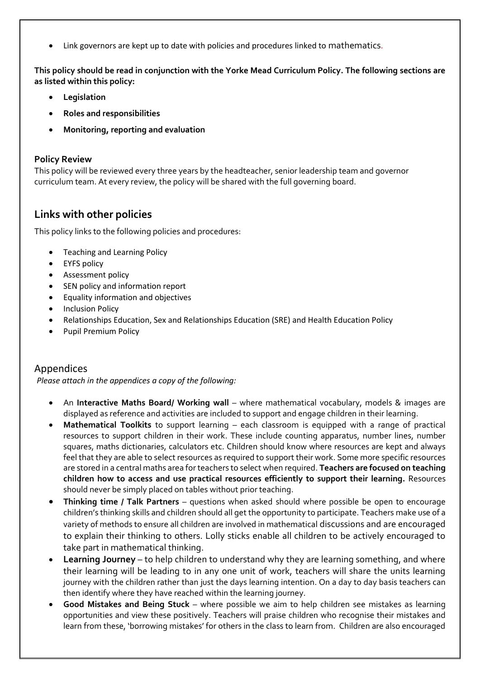Link governors are kept up to date with policies and procedures linked to mathematics.

**This policy should be read in conjunction with the Yorke Mead Curriculum Policy. The following sections are as listed within this policy:** 

- **Legislation**
- **Roles and responsibilities**
- **Monitoring, reporting and evaluation**

#### **Policy Review**

This policy will be reviewed every three years by the headteacher, senior leadership team and governor curriculum team. At every review, the policy will be shared with the full governing board.

## **Links with other policies**

This policy links to the following policies and procedures:

- Teaching and Learning Policy
- EYFS policy
- **•** Assessment policy
- SEN policy and information report
- Equality information and objectives
- Inclusion Policy
- Relationships Education, Sex and Relationships Education (SRE) and Health Education Policy
- Pupil Premium Policy

#### Appendices

*Please attach in the appendices a copy of the following:* 

- An Interactive Maths Board/ Working wall where mathematical vocabulary, models & images are displayed as reference and activities are included to support and engage children in their learning.
- **Mathematical Toolkits** to support learning each classroom is equipped with a range of practical resources to support children in their work. These include counting apparatus, number lines, number squares, maths dictionaries, calculators etc. Children should know where resources are kept and always feel that they are able to select resources as required to support their work. Some more specific resources are stored in a central maths area for teachers to select when required. **Teachers are focused on teaching children how to access and use practical resources efficiently to support their learning.** Resources should never be simply placed on tables without prior teaching.
- **Thinking time / Talk Partners** questions when asked should where possible be open to encourage children's thinking skills and children should all get the opportunity to participate. Teachers make use of a variety of methods to ensure all children are involved in mathematical discussions and are encouraged to explain their thinking to others. Lolly sticks enable all children to be actively encouraged to take part in mathematical thinking.
- **Learning Journey** to help children to understand why they are learning something, and where their learning will be leading to in any one unit of work, teachers will share the units learning journey with the children rather than just the days learning intention. On a day to day basis teachers can then identify where they have reached within the learning journey.
- **Good Mistakes and Being Stuck** where possible we aim to help children see mistakes as learning opportunities and view these positively. Teachers will praise children who recognise their mistakes and learn from these, 'borrowing mistakes' for others in the class to learn from. Children are also encouraged